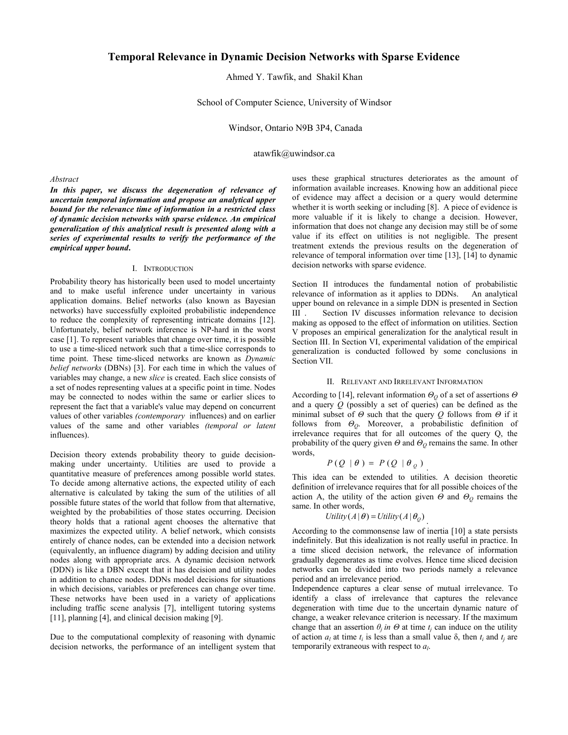# **Temporal Relevance in Dynamic Decision Networks with Sparse Evidence**

Ahmed Y. Tawfik, and Shakil Khan

School of Computer Science, University of Windsor

Windsor, Ontario N9B 3P4, Canada

atawfik@uwindsor.ca

### *Abstract*

In this paper, we discuss the degeneration of relevance of *uncertain temporal information and propose an analytical upper bound for the relevance time of information in a restricted class of dynamic decision networks with sparse evidence. An empirical generalization of this analytical result is presented along with a series of experimental results to verify the performance of the empirical upper bound***.** 

### I. INTRODUCTION

Probability theory has historically been used to model uncertainty and to make useful inference under uncertainty in various application domains. Belief networks (also known as Bayesian networks) have successfully exploited probabilistic independence to reduce the complexity of representing intricate domains [12]. Unfortunately, belief network inference is NP-hard in the worst case [1]. To represent variables that change over time, it is possible to use a time-sliced network such that a time-slice corresponds to time point. These time-sliced networks are known as *Dynamic belief networks* (DBNs) [3]. For each time in which the values of variables may change, a new *slice* is created. Each slice consists of a set of nodes representing values at a specific point in time. Nodes may be connected to nodes within the same or earlier slices to represent the fact that a variable's value may depend on concurrent values of other variables *(contemporary* influences) and on earlier values of the same and other variables *(temporal or latent*  influences).

Decision theory extends probability theory to guide decisionmaking under uncertainty. Utilities are used to provide a quantitative measure of preferences among possible world states. To decide among alternative actions, the expected utility of each alternative is calculated by taking the sum of the utilities of all possible future states of the world that follow from that alternative, weighted by the probabilities of those states occurring. Decision theory holds that a rational agent chooses the alternative that maximizes the expected utility. A belief network, which consists entirely of chance nodes, can be extended into a decision network (equivalently, an influence diagram) by adding decision and utility nodes along with appropriate arcs. A dynamic decision network (DDN) is like a DBN except that it has decision and utility nodes in addition to chance nodes. DDNs model decisions for situations in which decisions, variables or preferences can change over time. These networks have been used in a variety of applications including traffic scene analysis [7], intelligent tutoring systems [11], planning [4], and clinical decision making [9].

Due to the computational complexity of reasoning with dynamic decision networks, the performance of an intelligent system that uses these graphical structures deteriorates as the amount of information available increases. Knowing how an additional piece of evidence may affect a decision or a query would determine whether it is worth seeking or including [8]. A piece of evidence is more valuable if it is likely to change a decision. However, information that does not change any decision may still be of some value if its effect on utilities is not negligible. The present treatment extends the previous results on the degeneration of relevance of temporal information over time [13], [14] to dynamic decision networks with sparse evidence.

Section II introduces the fundamental notion of probabilistic relevance of information as it applies to DDNs. An analytical upper bound on relevance in a simple DDN is presented in Section III . Section IV discusses information relevance to decision making as opposed to the effect of information on utilities. Section V proposes an empirical generalization for the analytical result in Section III. In Section VI, experimental validation of the empirical generalization is conducted followed by some conclusions in Section VII.

#### II. RELEVANT AND IRRELEVANT INFORMATION

According to [14], relevant information  $\Theta_Q$  of a set of assertions  $\Theta$ and a query *Q* (possibly a set of queries) can be defined as the minimal subset of  $\Theta$  such that the query  $\Omega$  follows from  $\Theta$  if it follows from  $\Theta_{Q}$ . Moreover, a probabilistic definition of irrelevance requires that for all outcomes of the query Q, the probability of the query given  $\Theta$  and  $\Theta$ <sup>*Q*</sup> remains the same. In other words,

$$
P(Q | \theta) = P(Q | \theta_{Q})
$$

This idea can be extended to utilities. A decision theoretic definition of irrelevance requires that for all possible choices of the action A, the utility of the action given  $\Theta$  and  $\Theta$ <sup>o</sup> remains the same. In other words,

$$
Utility(A|\theta) = Utility(A|\theta_{Q})
$$

According to the commonsense law of inertia [10] a state persists indefinitely. But this idealization is not really useful in practice. In a time sliced decision network, the relevance of information gradually degenerates as time evolves. Hence time sliced decision networks can be divided into two periods namely a relevance period and an irrelevance period.

Independence captures a clear sense of mutual irrelevance. To identify a class of irrelevance that captures the relevance degeneration with time due to the uncertain dynamic nature of change, a weaker relevance criterion is necessary. If the maximum change that an assertion  $\theta_i$  in  $\Theta$  at time  $t_i$  can induce on the utility of action  $a_i$  at time  $t_i$  is less than a small value  $\delta$ , then  $t_i$  and  $t_i$  are temporarily extraneous with respect to *al*.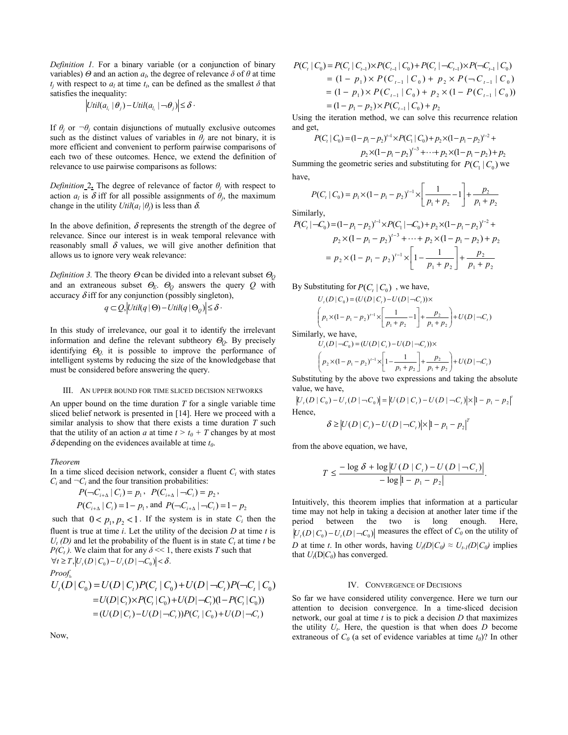*Definition .* For a binary variable (or a conjunction of binary variables)  $\Theta$  and an action  $a_l$ , the degree of relevance  $\delta$  of  $\theta$  at time  $t_i$  with respect to  $a_i$  at time  $t_i$ , can be defined as the smallest  $\delta$  that satisfies the inequality:

$$
\left|Util(a_{l_i} | \theta_j) - Util(a_{l_i} | \theta_j)\right| \leq \delta \cdot
$$

If  $\theta_i$  or  $\neg \theta_i$  contain disjunctions of mutually exclusive outcomes such as the distinct values of variables in  $\theta_i$  are not binary, it is more efficient and convenient to perform pairwise comparisons of each two of these outcomes. Hence, we extend the definition of relevance to use pairwise comparisons as follows:

*Definition*  $2$ **,** The degree of relevance of factor  $\theta$ <sub>*i*</sub> with respect to action  $a_l$  is  $\delta$  iff for all possible assignments of  $\theta_i$ , the maximum change in the utility  $Util(a_i | \theta_i)$  is less than  $\delta$ .

In the above definition,  $\delta$  represents the strength of the degree of relevance. Since our interest is in weak temporal relevance with reasonably small  $\delta$  values, we will give another definition that allows us to ignore very weak relevance:

*Definition 3.* The theory Θ can be divided into a relevant subset <sup>Θ</sup>*<sup>Q</sup>* and an extraneous subset  $\Theta_E$ .  $\Theta_Q$  answers the query  $Q$  with accuracy  $\delta$  iff for any conjunction (possibly singleton),

$$
q \subset Q, \left| \text{Util}(q \mid \Theta) - \text{Util}(q \mid \Theta_{\mathcal{Q}}) \right| \leq \delta.
$$

In this study of irrelevance, our goal it to identify the irrelevant information and define the relevant subtheory  $\Theta$ <sub>0</sub>. By precisely identifying <sup>Θ</sup>*Q,* it is possible to improve the performance of intelligent systems by reducing the size of the knowledgebase that must be considered before answering the query.

#### III. AN UPPER BOUND FOR TIME SLICED DECISION NETWORKS

An upper bound on the time duration *T* for a single variable time sliced belief network is presented in [14]. Here we proceed with a similar analysis to show that there exists a time duration *T* such that the utility of an action *a* at time  $t > t_0 + T$  changes by at most  $\delta$  depending on the evidences available at time  $t_0$ .

### *Theorem*

In a time sliced decision network, consider a fluent  $C_i$  with states  $C_i$  and  $\neg C_i$  and the four transition probabilities:

$$
P(\neg C_{i+\Delta} | C_i) = p_1, \ \ P(C_{i+\Delta} | \neg C_i) = p_2,
$$
  

$$
P(C_{i+\Delta} | C_i) = 1 - p_1, \text{ and } P(\neg C_{i+\Delta} | \neg C_i) = 1 - p_2
$$

such that  $0 < p_1, p_2 < 1$ . If the system is in state  $C_i$  then the fluent is true at time  $i$ . Let the utility of the decision  $D$  at time  $t$  is  $U_t$  (D) and let the probability of the fluent is in state  $C_t$  at time *t* be *P(C<sub>t</sub>)*. We claim that for any  $\delta \ll 1$ , there exists *T* such that  $\forall t \geq T, \left| U_t(D \mid C_0) - U_t(D \mid \neg C_0) \right| < \delta.$ 

*Proof.*  
\n
$$
U_t(D \mid C_0) = U(D \mid C_t)P(C_t \mid C_0) + U(D \mid \neg C_t)P(\neg C_t \mid C_0)
$$
\n
$$
= U(D \mid C_t) \times P(C_t \mid C_0) + U(D \mid \neg C_t)(1 - P(C_t \mid C_0))
$$
\n
$$
= (U(D \mid C_t) - U(D \mid \neg C_t))P(C_t \mid C_0) + U(D \mid \neg C_t)
$$

Now,

$$
P(C_t | C_0) = P(C_t | C_{t-1}) \times P(C_{t-1} | C_0) + P(C_t | \neg C_{t-1}) \times P(\neg C_{t-1} | C_0)
$$
  
= (1 - p<sub>1</sub>) × P(C<sub>t-1</sub> | C<sub>0</sub>) + p<sub>2</sub> × P( $\neg C_{t-1}$  | C<sub>0</sub>)  
= (1 - p<sub>1</sub>) × P(C<sub>t-1</sub> | C<sub>0</sub>) + p<sub>2</sub> × (1 - P(C<sub>t-1</sub> | C<sub>0</sub>))  
= (1 - p<sub>1</sub> - p<sub>2</sub>) × P(C<sub>t-1</sub> | C<sub>0</sub>) + p<sub>2</sub>

Using the iteration method, we can solve this recurrence relation and get,

$$
P(C_1 | C_0) = (1 - p_1 - p_2)^{-1} \times P(C_1 | C_0) + p_2 \times (1 - p_1 - p_2)^{-2} +
$$
  

$$
p_2 \times (1 - p_1 - p_2)^{-3} + \dots + p_2 \times (1 - p_1 - p_2) + p_2
$$

Summing the geometric series and substituting for  $P(C_1 | C_0)$  we have,

$$
P(Ct | C0) = p1 \times (1 - p1 - p2)t-1 \times \left[ \frac{1}{p_1 + p_2} - 1 \right] + \frac{p_2}{p_1 + p_2}
$$

Similarly,

$$
P(Ci|-C0) = (1-p1-p2)i-1 × P(C1|-C0) + p2 × (1-p1-p2)i-2 +\np2 × (1-p1-p2)i-3 + ··· + p2 × (1-p1-p2) + p2\n= p2 × (1-p1-p2)i-1 ×  $\left[1-\frac{1}{p_1+p_2}\right] + \frac{p_2}{p_1+p_2}$
$$

By Substituting for  $P(C_i | C_0)$ , we have,

$$
U_{t}(D|C_{0}) = (U(D|C_{t}) - U(D|-C_{t})) \times
$$
  
\n
$$
\left(p_{1} \times (1 - p_{1} - p_{2})^{t-1} \times \left[\frac{1}{p_{1} + p_{2}} - 1\right] + \frac{p_{2}}{p_{1} + p_{2}}\right) + U(D|-C_{t})
$$

Similarly, we have,

$$
U_{t}(D \mid \neg C_{0}) = (U(D \mid C_{t}) - U(D \mid \neg C_{t})) \times
$$
\n
$$
\left(p_{2} \times (1 - p_{1} - p_{2})^{t-1} \times \left[1 - \frac{1}{p_{1} + p_{2}}\right] + \frac{p_{2}}{p_{1} + p_{2}}\right) + U(D \mid \neg C_{t})
$$

Substituting by the above two expressions and taking the absolute value, we have,

$$
|U_{i}(D | C_{0}) - U_{i}(D | \neg C_{0})| = |U(D | C_{i}) - U(D | \neg C_{i})| \times |1 - p_{1} - p_{2}|^{t}
$$
  
Hence,

$$
\delta \geq \left| U(D \mid C_t) - U(D \mid \neg C_t) \right| \times \left| 1 - p_1 - p_2 \right|^T
$$

from the above equation, we have,

$$
T \le \frac{-\log \delta + \log |U(D | C_t) - U(D | -C_t)|}{-\log |1 - p_1 - p_2|}.
$$

Intuitively, this theorem implies that information at a particular time may not help in taking a decision at another later time if the period between the two is long enough. Here,  $|U_t(D|C_0) - U_t(D|C_0)|$  measures the effect of  $C_0$  on the utility of *D* at time *t*. In other words, having  $U_t(D|C_0) \approx U_{t-1}(D|C_0)$  implies that  $U_t(D|C_0)$  has converged.

#### IV. CONVERGENCE OF DECISIONS

So far we have considered utility convergence. Here we turn our attention to decision convergence. In a time-sliced decision network, our goal at time *t* is to pick a decision *D* that maximizes the utility  $U_t$ . Here, the question is that when does  $D$  become extraneous of  $C_0$  (a set of evidence variables at time  $t_0$ )? In other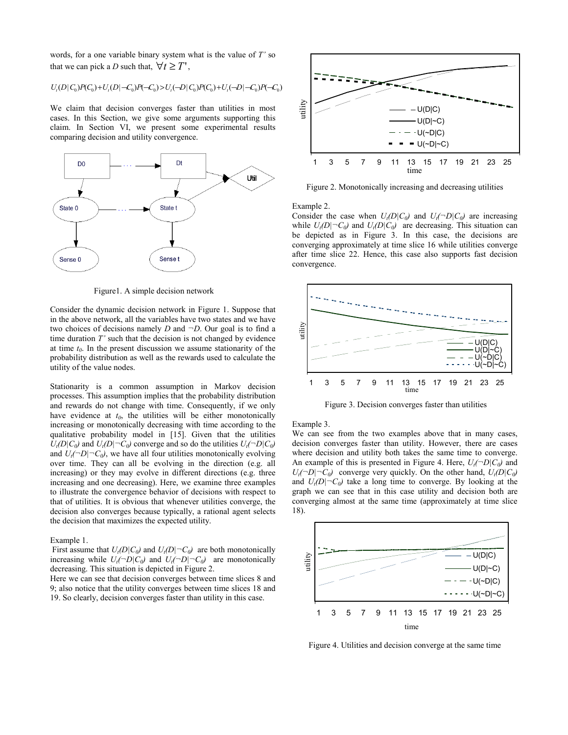words, for a one variable binary system what is the value of *T'* so that we can pick a *D* such that,  $\forall t \geq T'$ ,

$$
U_{\rm r}(D\vert C_{\rm 0})P(C_{\rm 0})+U_{\rm r}(D\vert -C_{\rm 0})P(-C_{\rm 0})>U_{\rm r}(-D\vert C_{\rm 0})P(C_{\rm 0})+U_{\rm r}(-D\vert -C_{\rm 0})P(-C_{\rm 0})
$$

We claim that decision converges faster than utilities in most cases. In this Section, we give some arguments supporting this claim. In Section VI, we present some experimental results comparing decision and utility convergence.



Figure1. A simple decision network

Consider the dynamic decision network in Figure 1. Suppose that in the above network, all the variables have two states and we have two choices of decisions namely *D* and *¬D*. Our goal is to find a time duration *T'* such that the decision is not changed by evidence at time  $t_0$ . In the present discussion we assume stationarity of the probability distribution as well as the rewards used to calculate the utility of the value nodes.

Stationarity is a common assumption in Markov decision processes. This assumption implies that the probability distribution and rewards do not change with time. Consequently, if we only have evidence at  $t_0$ , the utilities will be either monotonically increasing or monotonically decreasing with time according to the qualitative probability model in [15]. Given that the utilities  $U_t(D|C_0)$  and  $U_t(D|\neg C_0)$  converge and so do the utilities  $U_t(\neg D|C_0)$ and  $U_t(\neg D|\neg C_0)$ , we have all four utilities monotonically evolving over time. They can all be evolving in the direction (e.g. all increasing) or they may evolve in different directions (e.g. three increasing and one decreasing). Here, we examine three examples to illustrate the convergence behavior of decisions with respect to that of utilities. It is obvious that whenever utilities converge, the decision also converges because typically, a rational agent selects the decision that maximizes the expected utility.

### Example 1.

First assume that  $U_t(D|C_0)$  and  $U_t(D|\neg C_0)$  are both monotonically increasing while  $U_t(\neg D|C_0)$  and  $U_t(\neg D|\neg C_0)$  are monotonically decreasing. This situation is depicted in Figure 2.

Here we can see that decision converges between time slices 8 and 9; also notice that the utility converges between time slices 18 and 19. So clearly, decision converges faster than utility in this case.



Figure 2. Monotonically increasing and decreasing utilities

Example 2.

Consider the case when  $U_t(D|C_0)$  and  $U_t(\neg D|C_0)$  are increasing while  $U_t(D|\neg C_0)$  and  $U_t(D|C_0)$  are decreasing. This situation can be depicted as in Figure 3. In this case, the decisions are converging approximately at time slice 16 while utilities converge after time slice 22. Hence, this case also supports fast decision convergence.



Figure 3. Decision converges faster than utilities

#### Example 3.

We can see from the two examples above that in many cases, decision converges faster than utility. However, there are cases where decision and utility both takes the same time to converge. An example of this is presented in Figure 4. Here,  $U_t(\neg D|C_0)$  and  $U_t(\neg D|\neg C_0)$  converge very quickly. On the other hand,  $U_t(D|C_0)$ and  $U_t(D|\neg C_0)$  take a long time to converge. By looking at the graph we can see that in this case utility and decision both are converging almost at the same time (approximately at time slice 18).



Figure 4. Utilities and decision converge at the same time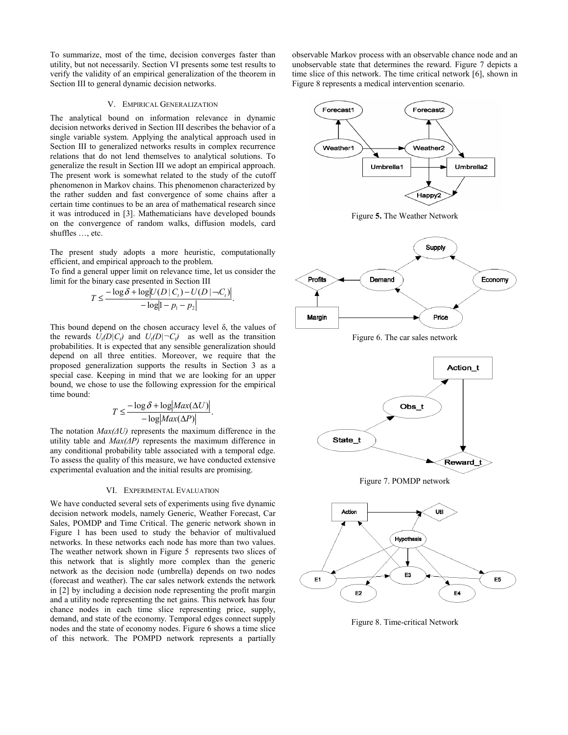To summarize, most of the time, decision converges faster than utility, but not necessarily. Section VI presents some test results to verify the validity of an empirical generalization of the theorem in Section III to general dynamic decision networks.

### V. EMPIRICAL GENERALIZATION

The analytical bound on information relevance in dynamic decision networks derived in Section III describes the behavior of a single variable system. Applying the analytical approach used in Section III to generalized networks results in complex recurrence relations that do not lend themselves to analytical solutions. To generalize the result in Section III we adopt an empirical approach. The present work is somewhat related to the study of the cutoff phenomenon in Markov chains. This phenomenon characterized by the rather sudden and fast convergence of some chains after a certain time continues to be an area of mathematical research since it was introduced in [3]. Mathematicians have developed bounds on the convergence of random walks, diffusion models, card shuffles …, etc.

The present study adopts a more heuristic, computationally efficient, and empirical approach to the problem.

To find a general upper limit on relevance time, let us consider the limit for the binary case presented in Section III

$$
T \le \frac{-\log \delta + \log |U(D \mid C_i) - U(D \mid \neg C_i)|}{-\log|1 - p_1 - p_2|}.
$$

This bound depend on the chosen accuracy level  $\delta$ , the values of the rewards  $U_t(D|C_t)$  and  $U_t(D|\neg C_t)$  as well as the transition probabilities. It is expected that any sensible generalization should depend on all three entities. Moreover, we require that the proposed generalization supports the results in Section 3 as a special case. Keeping in mind that we are looking for an upper bound, we chose to use the following expression for the empirical time bound:

$$
T \le \frac{-\log \delta + \log|Max(\Delta U)|}{-\log|Max(\Delta P)|}.
$$

The notation  $Max(\Delta U)$  represents the maximum difference in the utility table and  $Max(\Delta P)$  represents the maximum difference in any conditional probability table associated with a temporal edge. To assess the quality of this measure, we have conducted extensive experimental evaluation and the initial results are promising.

#### VI. EXPERIMENTAL EVALUATION

We have conducted several sets of experiments using five dynamic decision network models, namely Generic, Weather Forecast, Car Sales, POMDP and Time Critical. The generic network shown in Figure 1 has been used to study the behavior of multivalued networks. In these networks each node has more than two values. The weather network shown in Figure 5 represents two slices of this network that is slightly more complex than the generic network as the decision node (umbrella) depends on two nodes (forecast and weather). The car sales network extends the network in [2] by including a decision node representing the profit margin and a utility node representing the net gains. This network has four chance nodes in each time slice representing price, supply, demand, and state of the economy. Temporal edges connect supply nodes and the state of economy nodes. Figure 6 shows a time slice of this network. The POMPD network represents a partially observable Markov process with an observable chance node and an unobservable state that determines the reward. Figure 7 depicts a time slice of this network. The time critical network [6], shown in Figure 8 represents a medical intervention scenario.



Figure 8. Time-critical Network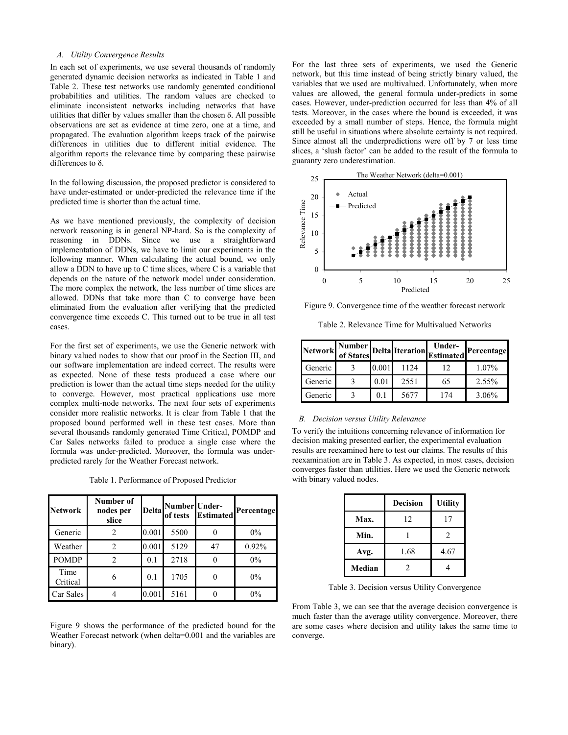# *A. Utility Convergence Results*

In each set of experiments, we use several thousands of randomly generated dynamic decision networks as indicated in Table 1 and Table 2. These test networks use randomly generated conditional probabilities and utilities. The random values are checked to eliminate inconsistent networks including networks that have utilities that differ by values smaller than the chosen  $\delta$ . All possible observations are set as evidence at time zero, one at a time, and propagated. The evaluation algorithm keeps track of the pairwise differences in utilities due to different initial evidence. The algorithm reports the relevance time by comparing these pairwise differences to  $\delta$ .

In the following discussion, the proposed predictor is considered to have under-estimated or under-predicted the relevance time if the predicted time is shorter than the actual time.

As we have mentioned previously, the complexity of decision network reasoning is in general NP-hard. So is the complexity of reasoning in DDNs. Since we use a straightforward implementation of DDNs, we have to limit our experiments in the following manner. When calculating the actual bound, we only allow a DDN to have up to C time slices, where C is a variable that depends on the nature of the network model under consideration. The more complex the network, the less number of time slices are allowed. DDNs that take more than C to converge have been eliminated from the evaluation after verifying that the predicted convergence time exceeds C. This turned out to be true in all test cases.

For the first set of experiments, we use the Generic network with binary valued nodes to show that our proof in the Section III, and our software implementation are indeed correct. The results were as expected. None of these tests produced a case where our prediction is lower than the actual time steps needed for the utility to converge. However, most practical applications use more complex multi-node networks. The next four sets of experiments consider more realistic networks. It is clear from Table 1 that the proposed bound performed well in these test cases. More than several thousands randomly generated Time Critical, POMDP and Car Sales networks failed to produce a single case where the formula was under-predicted. Moreover, the formula was underpredicted rarely for the Weather Forecast network.

Table 1. Performance of Proposed Predictor

| <b>Network</b>   | Number of<br>nodes per<br>slice |       | Delta Number Under-<br>of tests | <b>Estimated</b> | Percentage |
|------------------|---------------------------------|-------|---------------------------------|------------------|------------|
| Generic          |                                 | 0.001 | 5500                            |                  | $0\%$      |
| Weather          | $\mathfrak{D}$                  | 0.001 | 5129                            | 47               | 0.92%      |
| <b>POMDP</b>     |                                 | 0.1   | 2718                            | 0                | 0%         |
| Time<br>Critical | 6                               | 0.1   | 1705                            |                  | $0\%$      |
| Car Sales        |                                 | 0.001 | 5161                            |                  | $0\%$      |

Figure 9 shows the performance of the predicted bound for the Weather Forecast network (when delta=0.001 and the variables are binary).

For the last three sets of experiments, we used the Generic network, but this time instead of being strictly binary valued, the variables that we used are multivalued. Unfortunately, when more values are allowed, the general formula under-predicts in some cases. However, under-prediction occurred for less than 4% of all tests. Moreover, in the cases where the bound is exceeded, it was exceeded by a small number of steps. Hence, the formula might still be useful in situations where absolute certainty is not required. Since almost all the underpredictions were off by 7 or less time slices, a 'slush factor' can be added to the result of the formula to guaranty zero underestimation.



Figure 9. Convergence time of the weather forecast network

Table 2. Relevance Time for Multivalued Networks

|         |       |      | Network Number Delta Iteration Under- | Percentage |
|---------|-------|------|---------------------------------------|------------|
| Generic | 0.001 | 1124 | 12                                    | 1.07%      |
| Generic | 0.01  | 2551 | 65                                    | 2.55%      |
| Generic | 01    | 5677 | 174                                   | 3.06%      |

### *B. Decision versus Utility Relevance*

To verify the intuitions concerning relevance of information for decision making presented earlier, the experimental evaluation results are reexamined here to test our claims. The results of this reexamination are in Table 3. As expected, in most cases, decision converges faster than utilities. Here we used the Generic network with binary valued nodes.

|        | <b>Decision</b> | <b>Utility</b> |
|--------|-----------------|----------------|
| Max.   | 12              | 17             |
| Min.   |                 | 2              |
| Avg.   | 1.68            | 4.67           |
| Median | 2               |                |

Table 3. Decision versus Utility Convergence

From Table 3, we can see that the average decision convergence is much faster than the average utility convergence. Moreover, there are some cases where decision and utility takes the same time to converge.